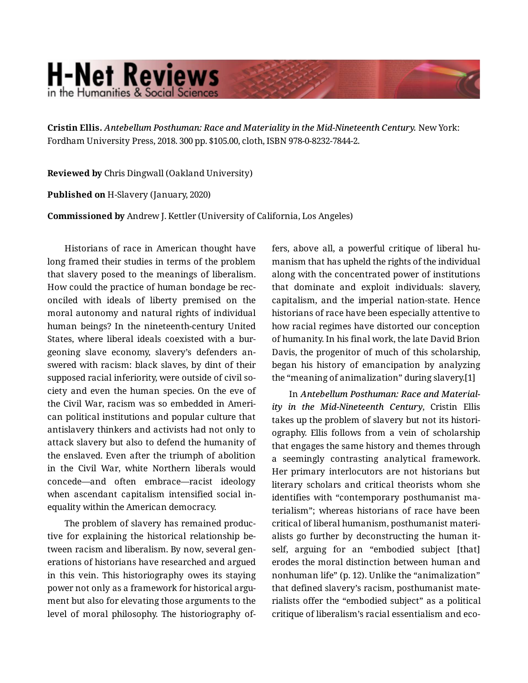## **H-Net Reviews** in the Humanities & Social Scienc

**Cristin Ellis.** *Antebellum Posthuman: Race and Materiality in the Mid-Nineteenth Century.* New York: Fordham University Press, 2018. 300 pp. \$105.00, cloth, ISBN 978-0-8232-7844-2.

**Reviewed by** Chris Dingwall (Oakland University)

**Published on** H-Slavery (January, 2020)

**Commissioned by** Andrew J. Kettler (University of California, Los Angeles)

Historians of race in American thought have long framed their studies in terms of the problem that slavery posed to the meanings of liberalism. How could the practice of human bondage be rec‐ onciled with ideals of liberty premised on the moral autonomy and natural rights of individual human beings? In the nineteenth-century United States, where liberal ideals coexisted with a bur‐ geoning slave economy, slavery's defenders an‐ swered with racism: black slaves, by dint of their supposed racial inferiority, were outside of civil society and even the human species. On the eve of the Civil War, racism was so embedded in Ameri‐ can political institutions and popular culture that antislavery thinkers and activists had not only to attack slavery but also to defend the humanity of the enslaved. Even after the triumph of abolition in the Civil War, white Northern liberals would concede—and often embrace—racist ideology when ascendant capitalism intensified social in‐ equality within the American democracy.

The problem of slavery has remained produc‐ tive for explaining the historical relationship be‐ tween racism and liberalism. By now, several gen‐ erations of historians have researched and argued in this vein. This historiography owes its staying power not only as a framework for historical argument but also for elevating those arguments to the level of moral philosophy. The historiography of‐ fers, above all, a powerful critique of liberal hu‐ manism that has upheld the rights of the individual along with the concentrated power of institutions that dominate and exploit individuals: slavery, capitalism, and the imperial nation-state. Hence historians of race have been especially attentive to how racial regimes have distorted our conception of humanity. In his final work, the late David Brion Davis, the progenitor of much of this scholarship, began his history of emancipation by analyzing the "meaning of animalization" during slavery.[1]

In *Antebellum Posthuman: Race and Material‐ ity in the Mid-Nineteenth Century*, Cristin Ellis takes up the problem of slavery but not its histori‐ ography. Ellis follows from a vein of scholarship that engages the same history and themes through a seemingly contrasting analytical framework. Her primary interlocutors are not historians but literary scholars and critical theorists whom she identifies with "contemporary posthumanist ma‐ terialism"; whereas historians of race have been critical of liberal humanism, posthumanist materi‐ alists go further by deconstructing the human it‐ self, arguing for an "embodied subject [that] erodes the moral distinction between human and nonhuman life" (p. 12). Unlike the "animalization" that defined slavery's racism, posthumanist mate‐ rialists offer the "embodied subject" as a political critique of liberalism's racial essentialism and eco‐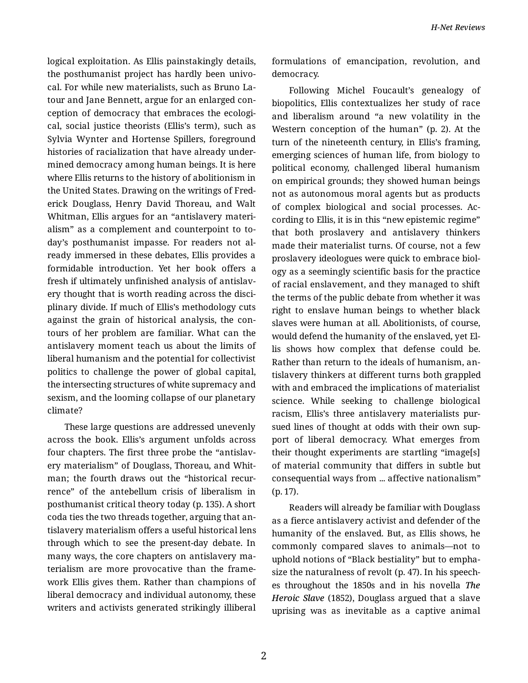logical exploitation. As Ellis painstakingly details, the posthumanist project has hardly been univo‐ cal. For while new materialists, such as Bruno La‐ tour and Jane Bennett, argue for an enlarged con‐ ception of democracy that embraces the ecologi‐ cal, social justice theorists (Ellis's term), such as Sylvia Wynter and Hortense Spillers, foreground histories of racialization that have already under‐ mined democracy among human beings. It is here where Ellis returns to the history of abolitionism in the United States. Drawing on the writings of Fred‐ erick Douglass, Henry David Thoreau, and Walt Whitman, Ellis argues for an "antislavery materi‐ alism" as a complement and counterpoint to to‐ day's posthumanist impasse. For readers not al‐ ready immersed in these debates, Ellis provides a formidable introduction. Yet her book offers a fresh if ultimately unfinished analysis of antislav‐ ery thought that is worth reading across the disci‐ plinary divide. If much of Ellis's methodology cuts against the grain of historical analysis, the con‐ tours of her problem are familiar. What can the antislavery moment teach us about the limits of liberal humanism and the potential for collectivist politics to challenge the power of global capital, the intersecting structures of white supremacy and sexism, and the looming collapse of our planetary climate?

These large questions are addressed unevenly across the book. Ellis's argument unfolds across four chapters. The first three probe the "antislav‐ ery materialism" of Douglass, Thoreau, and Whit‐ man; the fourth draws out the "historical recur‐ rence" of the antebellum crisis of liberalism in posthumanist critical theory today (p. 135). A short coda ties the two threads together, arguing that an‐ tislavery materialism offers a useful historical lens through which to see the present-day debate. In many ways, the core chapters on antislavery ma‐ terialism are more provocative than the frame‐ work Ellis gives them. Rather than champions of liberal democracy and individual autonomy, these writers and activists generated strikingly illiberal

formulations of emancipation, revolution, and democracy.

Following Michel Foucault's genealogy of biopolitics, Ellis contextualizes her study of race and liberalism around "a new volatility in the Western conception of the human" (p. 2). At the turn of the nineteenth century, in Ellis's framing, emerging sciences of human life, from biology to political economy, challenged liberal humanism on empirical grounds; they showed human beings not as autonomous moral agents but as products of complex biological and social processes. Ac‐ cording to Ellis, it is in this "new epistemic regime" that both proslavery and antislavery thinkers made their materialist turns. Of course, not a few proslavery ideologues were quick to embrace biol‐ ogy as a seemingly scientific basis for the practice of racial enslavement, and they managed to shift the terms of the public debate from whether it was right to enslave human beings to whether black slaves were human at all. Abolitionists, of course, would defend the humanity of the enslaved, yet El‐ lis shows how complex that defense could be. Rather than return to the ideals of humanism, an‐ tislavery thinkers at different turns both grappled with and embraced the implications of materialist science. While seeking to challenge biological racism, Ellis's three antislavery materialists pur‐ sued lines of thought at odds with their own support of liberal democracy. What emerges from their thought experiments are startling "image[s] of material community that differs in subtle but consequential ways from ... affective nationalism" (p. 17).

Readers will already be familiar with Douglass as a fierce antislavery activist and defender of the humanity of the enslaved. But, as Ellis shows, he commonly compared slaves to animals—not to uphold notions of "Black bestiality" but to empha‐ size the naturalness of revolt (p. 47). In his speech‐ es throughout the 1850s and in his novella *The Heroic Slave* (1852), Douglass argued that a slave uprising was as inevitable as a captive animal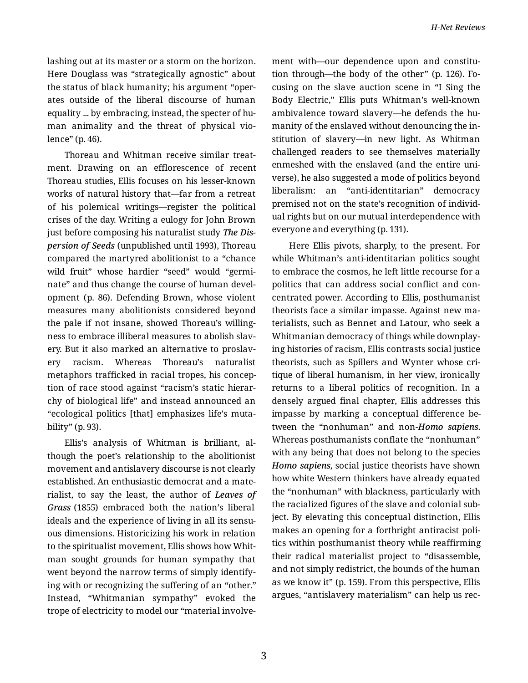lashing out at its master or a storm on the horizon. Here Douglass was "strategically agnostic" about the status of black humanity; his argument "oper‐ ates outside of the liberal discourse of human equality ... by embracing, instead, the specter of hu‐ man animality and the threat of physical vio‐ lence" (p. 46).

Thoreau and Whitman receive similar treat‐ ment. Drawing on an efflorescence of recent Thoreau studies, Ellis focuses on his lesser-known works of natural history that—far from a retreat of his polemical writings—register the political crises of the day. Writing a eulogy for John Brown just before composing his naturalist study *The Dis‐ persion of Seeds* (unpublished until 1993), Thoreau compared the martyred abolitionist to a "chance wild fruit" whose hardier "seed" would "germinate" and thus change the course of human devel‐ opment (p. 86). Defending Brown, whose violent measures many abolitionists considered beyond the pale if not insane, showed Thoreau's willing‐ ness to embrace illiberal measures to abolish slav‐ ery. But it also marked an alternative to proslav‐ ery racism. Whereas Thoreau's naturalist metaphors trafficked in racial tropes, his concep‐ tion of race stood against "racism's static hierar‐ chy of biological life" and instead announced an "ecological politics [that] emphasizes life's muta‐ bility" (p. 93).

Ellis's analysis of Whitman is brilliant, al‐ though the poet's relationship to the abolitionist movement and antislavery discourse is not clearly established. An enthusiastic democrat and a mate‐ rialist, to say the least, the author of *Leaves of Grass* (1855) embraced both the nation's liberal ideals and the experience of living in all its sensu‐ ous dimensions. Historicizing his work in relation to the spiritualist movement, Ellis shows how Whit‐ man sought grounds for human sympathy that went beyond the narrow terms of simply identify‐ ing with or recognizing the suffering of an "other." Instead, "Whitmanian sympathy" evoked the trope of electricity to model our "material involve‐

ment with—our dependence upon and constitution through—the body of the other" (p. 126). Fo‐ cusing on the slave auction scene in "I Sing the Body Electric," Ellis puts Whitman's well-known ambivalence toward slavery—he defends the humanity of the enslaved without denouncing the in‐ stitution of slavery—in new light. As Whitman challenged readers to see themselves materially enmeshed with the enslaved (and the entire uni‐ verse), he also suggested a mode of politics beyond liberalism: an "anti-identitarian" democracy premised not on the state's recognition of individ‐ ual rights but on our mutual interdependence with everyone and everything (p. 131).

Here Ellis pivots, sharply, to the present. For while Whitman's anti-identitarian politics sought to embrace the cosmos, he left little recourse for a politics that can address social conflict and con‐ centrated power. According to Ellis, posthumanist theorists face a similar impasse. Against new ma‐ terialists, such as Bennet and Latour, who seek a Whitmanian democracy of things while downplay‐ ing histories of racism, Ellis contrasts social justice theorists, such as Spillers and Wynter whose cri‐ tique of liberal humanism, in her view, ironically returns to a liberal politics of recognition. In a densely argued final chapter, Ellis addresses this impasse by marking a conceptual difference be‐ tween the "nonhuman" and non-*Homo sapiens*. Whereas posthumanists conflate the "nonhuman" with any being that does not belong to the species *Homo sapiens*, social justice theorists have shown how white Western thinkers have already equated the "nonhuman" with blackness, particularly with the racialized figures of the slave and colonial sub‐ ject. By elevating this conceptual distinction, Ellis makes an opening for a forthright antiracist poli‐ tics within posthumanist theory while reaffirming their radical materialist project to "disassemble, and not simply redistrict, the bounds of the human as we know it" (p. 159). From this perspective, Ellis argues, "antislavery materialism" can help us rec‐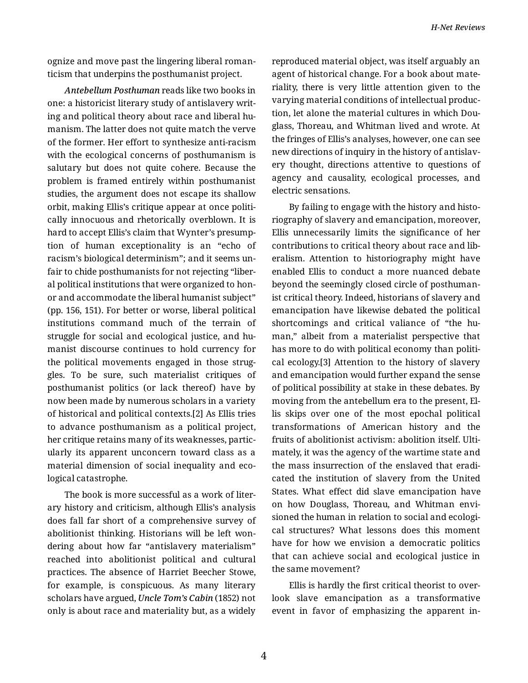ognize and move past the lingering liberal roman‐ ticism that underpins the posthumanist project.

*Antebellum Posthuman* reads like two books in one: a historicist literary study of antislavery writ‐ ing and political theory about race and liberal hu‐ manism. The latter does not quite match the verve of the former. Her effort to synthesize anti-racism with the ecological concerns of posthumanism is salutary but does not quite cohere. Because the problem is framed entirely within posthumanist studies, the argument does not escape its shallow orbit, making Ellis's critique appear at once politi‐ cally innocuous and rhetorically overblown. It is hard to accept Ellis's claim that Wynter's presump‐ tion of human exceptionality is an "echo of racism's biological determinism"; and it seems un‐ fair to chide posthumanists for not rejecting "liber‐ al political institutions that were organized to hon‐ or and accommodate the liberal humanist subject" (pp. 156, 151). For better or worse, liberal political institutions command much of the terrain of struggle for social and ecological justice, and hu‐ manist discourse continues to hold currency for the political movements engaged in those strug‐ gles. To be sure, such materialist critiques of posthumanist politics (or lack thereof) have by now been made by numerous scholars in a variety of historical and political contexts.[2] As Ellis tries to advance posthumanism as a political project, her critique retains many of its weaknesses, partic‐ ularly its apparent unconcern toward class as a material dimension of social inequality and eco‐ logical catastrophe.

The book is more successful as a work of liter‐ ary history and criticism, although Ellis's analysis does fall far short of a comprehensive survey of abolitionist thinking. Historians will be left won‐ dering about how far "antislavery materialism" reached into abolitionist political and cultural practices. The absence of Harriet Beecher Stowe, for example, is conspicuous. As many literary scholars have argued, *Uncle Tom's Cabin* (1852) not only is about race and materiality but, as a widely reproduced material object, was itself arguably an agent of historical change. For a book about mate‐ riality, there is very little attention given to the varying material conditions of intellectual produc‐ tion, let alone the material cultures in which Dou‐ glass, Thoreau, and Whitman lived and wrote. At the fringes of Ellis's analyses, however, one can see new directions of inquiry in the history of antislav‐ ery thought, directions attentive to questions of agency and causality, ecological processes, and electric sensations.

By failing to engage with the history and histo‐ riography of slavery and emancipation, moreover, Ellis unnecessarily limits the significance of her contributions to critical theory about race and lib‐ eralism. Attention to historiography might have enabled Ellis to conduct a more nuanced debate beyond the seemingly closed circle of posthuman‐ ist critical theory. Indeed, historians of slavery and emancipation have likewise debated the political shortcomings and critical valiance of "the human," albeit from a materialist perspective that has more to do with political economy than political ecology.[3] Attention to the history of slavery and emancipation would further expand the sense of political possibility at stake in these debates. By moving from the antebellum era to the present, El‐ lis skips over one of the most epochal political transformations of American history and the fruits of abolitionist activism: abolition itself. Ulti‐ mately, it was the agency of the wartime state and the mass insurrection of the enslaved that eradi‐ cated the institution of slavery from the United States. What effect did slave emancipation have on how Douglass, Thoreau, and Whitman envi‐ sioned the human in relation to social and ecologi‐ cal structures? What lessons does this moment have for how we envision a democratic politics that can achieve social and ecological justice in the same movement?

Ellis is hardly the first critical theorist to over‐ look slave emancipation as a transformative event in favor of emphasizing the apparent in‐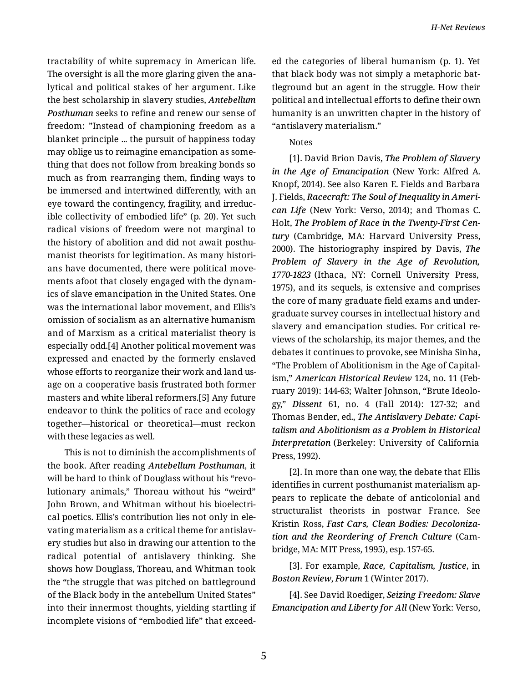tractability of white supremacy in American life. The oversight is all the more glaring given the ana‐ lytical and political stakes of her argument. Like the best scholarship in slavery studies, *Antebellum Posthuman* seeks to refine and renew our sense of freedom: "Instead of championing freedom as a blanket principle ... the pursuit of happiness today may oblige us to reimagine emancipation as some‐ thing that does not follow from breaking bonds so much as from rearranging them, finding ways to be immersed and intertwined differently, with an eye toward the contingency, fragility, and irreduc‐ ible collectivity of embodied life" (p. 20). Yet such radical visions of freedom were not marginal to the history of abolition and did not await posthu‐ manist theorists for legitimation. As many histori‐ ans have documented, there were political move‐ ments afoot that closely engaged with the dynam‐ ics of slave emancipation in the United States. One was the international labor movement, and Ellis's omission of socialism as an alternative humanism and of Marxism as a critical materialist theory is especially odd.[4] Another political movement was expressed and enacted by the formerly enslaved whose efforts to reorganize their work and land us‐ age on a cooperative basis frustrated both former masters and white liberal reformers.[5] Any future endeavor to think the politics of race and ecology together—historical or theoretical—must reckon with these legacies as well.

This is not to diminish the accomplishments of the book. After reading *Antebellum Posthuman*, it will be hard to think of Douglass without his "revo‐ lutionary animals," Thoreau without his "weird" John Brown, and Whitman without his bioelectri‐ cal poetics. Ellis's contribution lies not only in ele‐ vating materialism as a critical theme for antislav‐ ery studies but also in drawing our attention to the radical potential of antislavery thinking. She shows how Douglass, Thoreau, and Whitman took the "the struggle that was pitched on battleground of the Black body in the antebellum United States" into their innermost thoughts, yielding startling if incomplete visions of "embodied life" that exceed‐

ed the categories of liberal humanism (p. 1). Yet that black body was not simply a metaphoric bat‐ tleground but an agent in the struggle. How their political and intellectual efforts to define their own humanity is an unwritten chapter in the history of "antislavery materialism."

## Notes

[1]. David Brion Davis, *The Problem of Slavery in the Age of Emancipation* (New York: Alfred A. Knopf, 2014). See also Karen E. Fields and Barbara J. Fields, *Racecraft: The Soul of Inequality in Ameri‐ can Life* (New York: Verso, 2014); and Thomas C. Holt, *The Problem of Race in the Twenty-First Cen‐ tury* (Cambridge, MA: Harvard University Press, 2000). The historiography inspired by Davis, *The Problem of Slavery in the Age of Revolution, 1770-1823* (Ithaca, NY: Cornell University Press, 1975), and its sequels, is extensive and comprises the core of many graduate field exams and under‐ graduate survey courses in intellectual history and slavery and emancipation studies. For critical re‐ views of the scholarship, its major themes, and the debates it continues to provoke, see Minisha Sinha, "The Problem of Abolitionism in the Age of Capital‐ ism," *American Historical Review* 124, no. 11 (Feb‐ ruary 2019): 144-63; Walter Johnson, "Brute Ideolo‐ gy," *Dissent* 61, no. 4 (Fall 2014): 127-32; and Thomas Bender, ed., *The Antislavery Debate: Capi‐ talism and Abolitionism as a Problem in Historical Interpretation* (Berkeley: University of California Press, 1992).

[2]. In more than one way, the debate that Ellis identifies in current posthumanist materialism ap‐ pears to replicate the debate of anticolonial and structuralist theorists in postwar France. See Kristin Ross, *Fast Cars, Clean Bodies: Decoloniza‐ tion and the Reordering of French Culture* (Cam‐ bridge, MA: MIT Press, 1995), esp. 157-65.

[3]. For example, *Race, Capitalism, Justice*, in *Boston Review*, *Forum* 1 (Winter 2017).

[4]. See David Roediger, *Seizing Freedom: Slave Emancipation and Liberty for All* (New York: Verso,